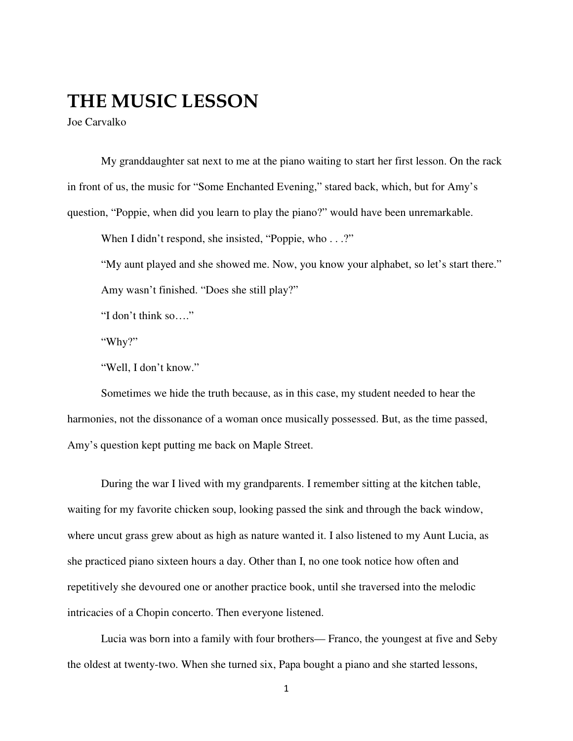## THE MUSIC LESSON

Joe Carvalko

My granddaughter sat next to me at the piano waiting to start her first lesson. On the rack in front of us, the music for "Some Enchanted Evening," stared back, which, but for Amy's question, "Poppie, when did you learn to play the piano?" would have been unremarkable.

When I didn't respond, she insisted, "Poppie, who . . .?"

"My aunt played and she showed me. Now, you know your alphabet, so let's start there." Amy wasn't finished. "Does she still play?"

"I don't think so…."

"Why?"

"Well, I don't know."

Sometimes we hide the truth because, as in this case, my student needed to hear the harmonies, not the dissonance of a woman once musically possessed. But, as the time passed, Amy's question kept putting me back on Maple Street.

During the war I lived with my grandparents. I remember sitting at the kitchen table, waiting for my favorite chicken soup, looking passed the sink and through the back window, where uncut grass grew about as high as nature wanted it. I also listened to my Aunt Lucia, as she practiced piano sixteen hours a day. Other than I, no one took notice how often and repetitively she devoured one or another practice book, until she traversed into the melodic intricacies of a Chopin concerto. Then everyone listened.

Lucia was born into a family with four brothers— Franco, the youngest at five and Seby the oldest at twenty-two. When she turned six, Papa bought a piano and she started lessons,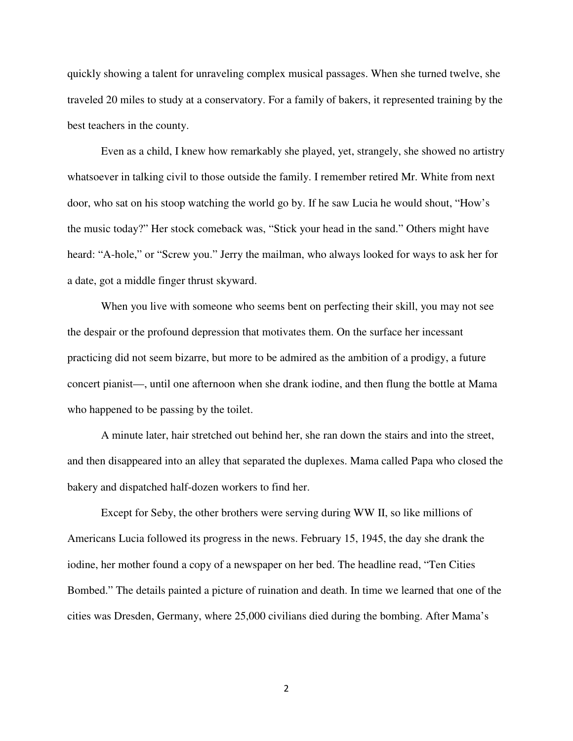quickly showing a talent for unraveling complex musical passages. When she turned twelve, she traveled 20 miles to study at a conservatory. For a family of bakers, it represented training by the best teachers in the county.

Even as a child, I knew how remarkably she played, yet, strangely, she showed no artistry whatsoever in talking civil to those outside the family. I remember retired Mr. White from next door, who sat on his stoop watching the world go by. If he saw Lucia he would shout, "How's the music today?" Her stock comeback was, "Stick your head in the sand." Others might have heard: "A-hole," or "Screw you." Jerry the mailman, who always looked for ways to ask her for a date, got a middle finger thrust skyward.

When you live with someone who seems bent on perfecting their skill, you may not see the despair or the profound depression that motivates them. On the surface her incessant practicing did not seem bizarre, but more to be admired as the ambition of a prodigy, a future concert pianist—, until one afternoon when she drank iodine, and then flung the bottle at Mama who happened to be passing by the toilet.

A minute later, hair stretched out behind her, she ran down the stairs and into the street, and then disappeared into an alley that separated the duplexes. Mama called Papa who closed the bakery and dispatched half-dozen workers to find her.

Except for Seby, the other brothers were serving during WW II, so like millions of Americans Lucia followed its progress in the news. February 15, 1945, the day she drank the iodine, her mother found a copy of a newspaper on her bed. The headline read, "Ten Cities Bombed." The details painted a picture of ruination and death. In time we learned that one of the cities was Dresden, Germany, where 25,000 civilians died during the bombing. After Mama's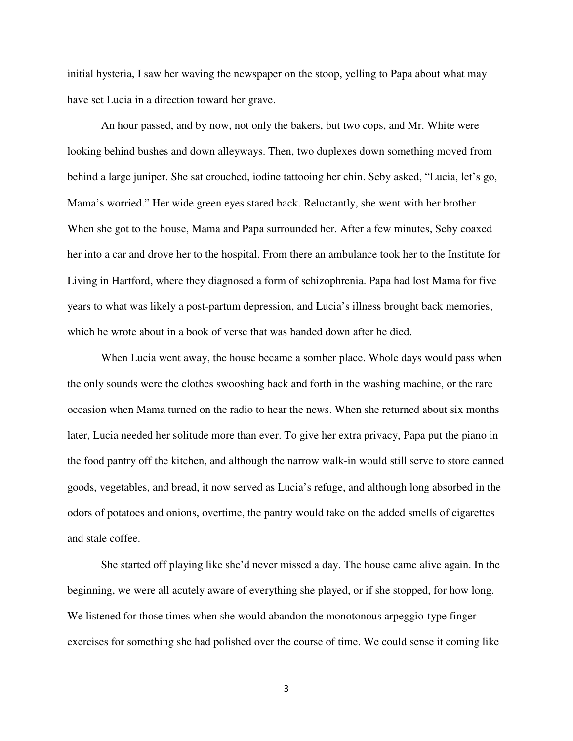initial hysteria, I saw her waving the newspaper on the stoop, yelling to Papa about what may have set Lucia in a direction toward her grave.

An hour passed, and by now, not only the bakers, but two cops, and Mr. White were looking behind bushes and down alleyways. Then, two duplexes down something moved from behind a large juniper. She sat crouched, iodine tattooing her chin. Seby asked, "Lucia, let's go, Mama's worried." Her wide green eyes stared back. Reluctantly, she went with her brother. When she got to the house, Mama and Papa surrounded her. After a few minutes, Seby coaxed her into a car and drove her to the hospital. From there an ambulance took her to the Institute for Living in Hartford, where they diagnosed a form of schizophrenia. Papa had lost Mama for five years to what was likely a post-partum depression, and Lucia's illness brought back memories, which he wrote about in a book of verse that was handed down after he died.

When Lucia went away, the house became a somber place. Whole days would pass when the only sounds were the clothes swooshing back and forth in the washing machine, or the rare occasion when Mama turned on the radio to hear the news. When she returned about six months later, Lucia needed her solitude more than ever. To give her extra privacy, Papa put the piano in the food pantry off the kitchen, and although the narrow walk-in would still serve to store canned goods, vegetables, and bread, it now served as Lucia's refuge, and although long absorbed in the odors of potatoes and onions, overtime, the pantry would take on the added smells of cigarettes and stale coffee.

She started off playing like she'd never missed a day. The house came alive again. In the beginning, we were all acutely aware of everything she played, or if she stopped, for how long. We listened for those times when she would abandon the monotonous arpeggio-type finger exercises for something she had polished over the course of time. We could sense it coming like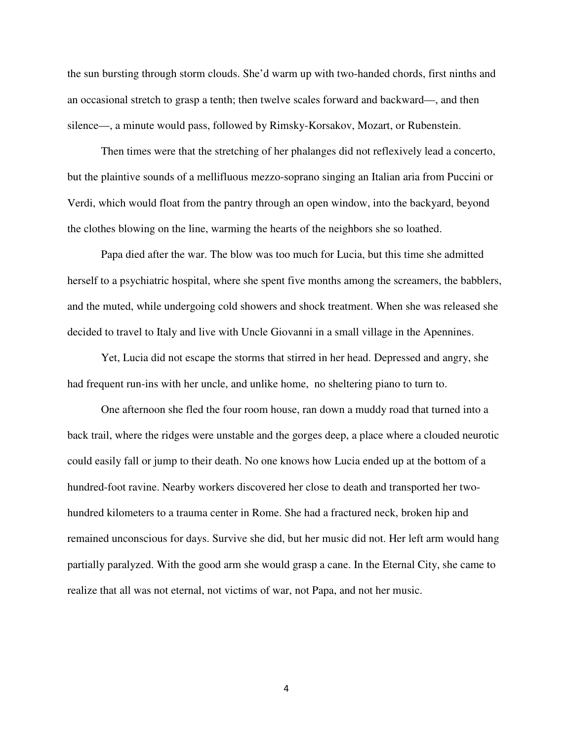the sun bursting through storm clouds. She'd warm up with two-handed chords, first ninths and an occasional stretch to grasp a tenth; then twelve scales forward and backward—, and then silence—, a minute would pass, followed by Rimsky-Korsakov, Mozart, or Rubenstein.

Then times were that the stretching of her phalanges did not reflexively lead a concerto, but the plaintive sounds of a mellifluous mezzo-soprano singing an Italian aria from Puccini or Verdi, which would float from the pantry through an open window, into the backyard, beyond the clothes blowing on the line, warming the hearts of the neighbors she so loathed.

Papa died after the war. The blow was too much for Lucia, but this time she admitted herself to a psychiatric hospital, where she spent five months among the screamers, the babblers, and the muted, while undergoing cold showers and shock treatment. When she was released she decided to travel to Italy and live with Uncle Giovanni in a small village in the Apennines.

Yet, Lucia did not escape the storms that stirred in her head. Depressed and angry, she had frequent run-ins with her uncle, and unlike home, no sheltering piano to turn to.

One afternoon she fled the four room house, ran down a muddy road that turned into a back trail, where the ridges were unstable and the gorges deep, a place where a clouded neurotic could easily fall or jump to their death. No one knows how Lucia ended up at the bottom of a hundred-foot ravine. Nearby workers discovered her close to death and transported her twohundred kilometers to a trauma center in Rome. She had a fractured neck, broken hip and remained unconscious for days. Survive she did, but her music did not. Her left arm would hang partially paralyzed. With the good arm she would grasp a cane. In the Eternal City, she came to realize that all was not eternal, not victims of war, not Papa, and not her music.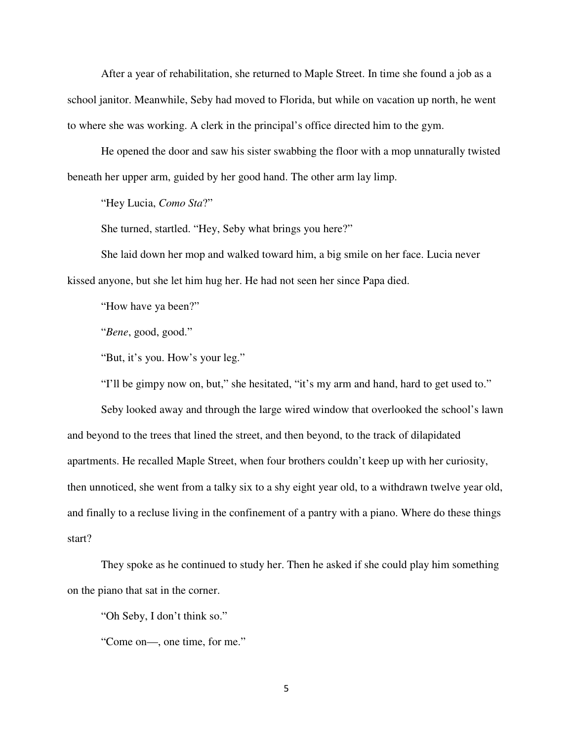After a year of rehabilitation, she returned to Maple Street. In time she found a job as a school janitor. Meanwhile, Seby had moved to Florida, but while on vacation up north, he went to where she was working. A clerk in the principal's office directed him to the gym.

He opened the door and saw his sister swabbing the floor with a mop unnaturally twisted beneath her upper arm, guided by her good hand. The other arm lay limp.

"Hey Lucia, *Como Sta*?"

She turned, startled. "Hey, Seby what brings you here?"

She laid down her mop and walked toward him, a big smile on her face. Lucia never kissed anyone, but she let him hug her. He had not seen her since Papa died.

"How have ya been?"

"*Bene*, good, good."

"But, it's you. How's your leg."

"I'll be gimpy now on, but," she hesitated, "it's my arm and hand, hard to get used to."

Seby looked away and through the large wired window that overlooked the school's lawn and beyond to the trees that lined the street, and then beyond, to the track of dilapidated apartments. He recalled Maple Street, when four brothers couldn't keep up with her curiosity, then unnoticed, she went from a talky six to a shy eight year old, to a withdrawn twelve year old, and finally to a recluse living in the confinement of a pantry with a piano. Where do these things start?

They spoke as he continued to study her. Then he asked if she could play him something on the piano that sat in the corner.

"Oh Seby, I don't think so."

"Come on—, one time, for me."